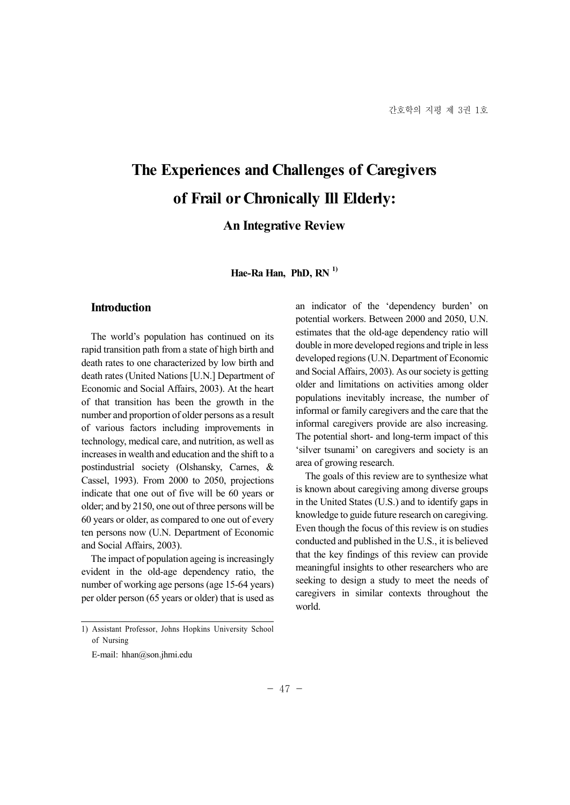# **The Experiences and Challenges of Caregivers of Frail or Chronically Ill Elderly:**

# **An Integrative Review**

**Hae-Ra Han, PhD, RN 1)**

# **Introduction**

The world's population has continued on its rapid transition path from a state of high birth and death rates to one characterized by low birth and death rates (United Nations [U.N.] Department of Economic and Social Affairs, 2003). At the heart of that transition has been the growth in the number and proportion of older persons as a result of various factors including improvements in<br>the potential short- and long-term impact of this<br>technology modical area and putrition as well as<br> $\frac{1}{2}$ . technology, medical care, and nutrition, as well as increases in wealth and education and the shift to a postindustrial society (Olshansky, Carnes, & Cassel, 1993). From 2000 to 2050, projections indicate that one out of five will be 60 years or older; and by 2150, one out of three persons will be 60 years or older, as compared to one out of every ten persons now (U.N. Department of Economic and Social Affairs, 2003).

The impact of population ageing is increasingly evident in the old-age dependency ratio, the number of working age persons (age 15-64 years) per older person (65 years or older) that is used as an indicator of the 'dependency burden' on potential workers. Between 2000 and 2050, U.N. estimates that the old-age dependency ratio will double in more developed regions and triple in less developed regions (U.N. Department of Economic and Social Affairs, 2003). As our society is getting older and limitations on activities among older populations inevitably increase, the number of informal or family caregivers and the care that the informal caregivers provide are also increasing. 'silver tsunami' on caregivers and society is an area of growing research.

The goals of this review are to synthesize what is known about caregiving among diverse groups in the United States (U.S.) and to identify gaps in knowledge to guide future research on caregiving. Even though the focus of this review is on studies conducted and published in the U.S., it is believed that the key findings of this review can provide meaningful insights to other researchers who are seeking to design a study to meet the needs of caregivers in similar contexts throughout the world.

<sup>1)</sup> Assistant Professor, Johns Hopkins University School of Nursing

E-mail: hhan@son.jhmi.edu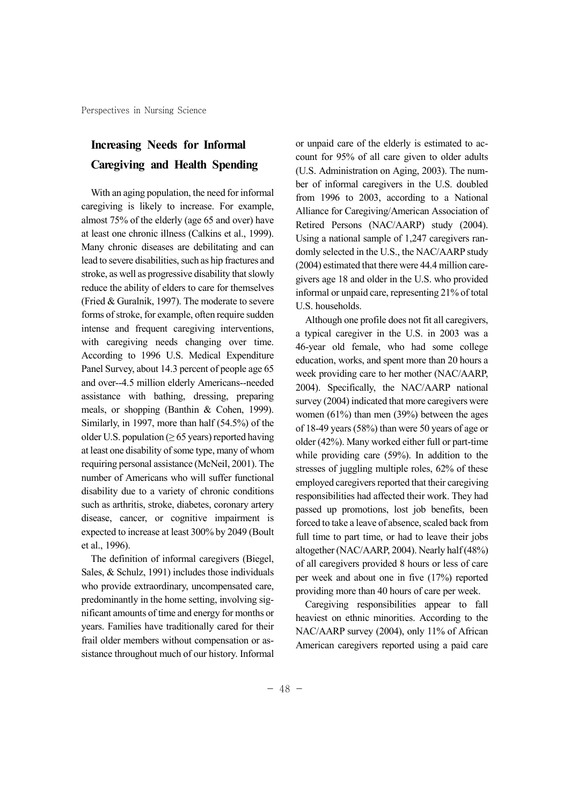# **Increasing Needs for Informal Caregiving and Health Spending**

With an aging population, the need for informal caregiving is likely to increase. For example, almost 75% of the elderly (age 65 and over) have at least one chronic illness (Calkins et al., 1999). Many chronic diseases are debilitating and can lead to severe disabilities, such as hip fractures and stroke, as well as progressive disability that slowly reduce the ability of elders to care for themselves (Fried & Guralnik, 1997). The moderate to severe forms of stroke, for example, often require sudden intense and frequent caregiving interventions, with caregiving needs changing over time. According to 1996 U.S. Medical Expenditure Panel Survey, about 14.3 percent of people age 65 and over--4.5 million elderly Americans--needed assistance with bathing, dressing, preparing meals, or shopping (Banthin & Cohen, 1999). Similarly, in 1997, more than half (54.5%) of the older U.S. population ( $\geq 65$  years) reported having at least one disability of some type, many of whom requiring personal assistance (McNeil, 2001). The number of Americans who will suffer functional disability due to a variety of chronic conditions such as arthritis, stroke, diabetes, coronary artery disease, cancer, or cognitive impairment is expected to increase at least 300% by 2049 (Boult et al., 1996).

The definition of informal caregivers (Biegel, Sales, & Schulz, 1991) includes those individuals who provide extraordinary, uncompensated care, predominantly in the home setting, involving sig nificant amounts of time and energy for months or years. Families have traditionally cared for their frail older members without compensation or as sistance throughout much of our history. Informal or unpaid care of the elderly is estimated to ac count for 95% of all care given to older adults (U.S. Administration on Aging, 2003). The num ber of informal caregivers in the U.S. doubled from 1996 to 2003, according to a National Alliance for Caregiving/American Association of Retired Persons (NAC/AARP) study (2004). Using a national sample of 1,247 caregivers ran domly selected in the U.S., the NAC/AARP study (2004) estimated that there were 44.4 million care givers age 18 and older in the U.S. who provided informal or unpaid care, representing 21% of total U.S. households.

Although one profile does not fit all caregivers, a typical caregiver in the U.S. in 2003 was a 46-year old female, who had some college education, works, and spent more than 20 hours a week providing care to her mother (NAC/AARP, 2004). Specifically, the NAC/AARP national survey (2004) indicated that more caregivers were women (61%) than men (39%) between the ages of 18-49 years (58%) than were 50 years of age or older (42%). Many worked either full or part-time while providing care (59%). In addition to the stresses of juggling multiple roles, 62% of these employed caregivers reported that their caregiving responsibilities had affected their work. They had passed up promotions, lost job benefits, been forced to take a leave of absence, scaled back from full time to part time, or had to leave their jobs altogether (NAC/AARP, 2004). Nearly half (48%) of all caregivers provided 8 hours or less of care per week and about one in five (17%) reported providing more than 40 hours of care per week.

Caregiving responsibilities appear to fall heaviest on ethnic minorities. According to the NAC/AARP survey (2004), only 11% of African American caregivers reported using a paid care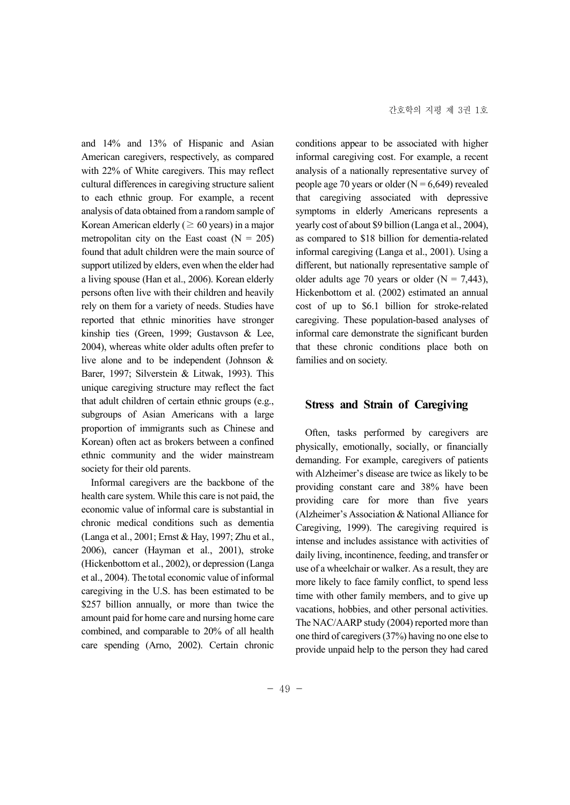and 14% and 13% of Hispanic and Asian American caregivers, respectively, as compared with 22% of White caregivers. This may reflect cultural differences in caregiving structure salient to each ethnic group. For example, a recent analysis of data obtained from a random sample of Korean American elderly ( $\geq 60$  years) in a major metropolitan city on the East coast  $(N = 205)$ found that adult children were the main source of support utilized by elders, even when the elder had a living spouse (Han et al., 2006). Korean elderly persons often live with their children and heavily rely on them for a variety of needs. Studies have reported that ethnic minorities have stronger kinship ties (Green, 1999; Gustavson & Lee, 2004), whereas white older adults often prefer to live alone and to be independent (Johnson & Barer, 1997; Silverstein & Litwak, 1993). This unique caregiving structure may reflect the fact that adult children of certain ethnic groups (e.g., subgroups of Asian Americans with a large proportion of immigrants such as Chinese and Korean) often act as brokers between a confined ethnic community and the wider mainstream society for their old parents.

Informal caregivers are the backbone of the health care system. While this care is not paid, the economic value of informal care is substantial in chronic medical conditions such as dementia (Langa et al., 2001; Ernst & Hay, 1997; Zhu et al., 2006), cancer (Hayman et al., 2001), stroke (Hickenbottom et al., 2002), or depression (Langa et al., 2004). The total economic value of informal caregiving in the U.S. has been estimated to be \$257 billion annually, or more than twice the amount paid for home care and nursing home care combined, and comparable to 20% of all health care spending (Arno, 2002). Certain chronic conditions appear to be associated with higher informal caregiving cost. For example, a recent analysis of a nationally representative survey of people age 70 years or older  $(N = 6,649)$  revealed that caregiving associated with depressive symptoms in elderly Americans represents a yearly cost of about \$9 billion (Langa et al., 2004), as compared to \$18 billion for dementia-related informal caregiving (Langa et al., 2001). Using a different, but nationally representative sample of older adults age 70 years or older  $(N = 7,443)$ , Hickenbottom et al. (2002) estimated an annual cost of up to \$6.1 billion for stroke-related caregiving. These population-based analyses of informal care demonstrate the significant burden that these chronic conditions place both on families and on society.

## **Stress and Strain of Caregiving**

Often, tasks performed by caregivers are physically, emotionally, socially, or financially demanding. For example, caregivers of patients with Alzheimer's disease are twice as likely to be providing constant care and 38% have been providing care for more than five years (Alzheimer's Association & National Alliance for Caregiving, 1999). The caregiving required is intense and includes assistance with activities of daily living, incontinence, feeding, and transfer or use of a wheelchair or walker. As a result, they are more likely to face family conflict, to spend less time with other family members, and to give up vacations, hobbies, and other personal activities. The NAC/AARP study (2004) reported more than one third of caregivers (37%) having no one else to provide unpaid help to the person they had cared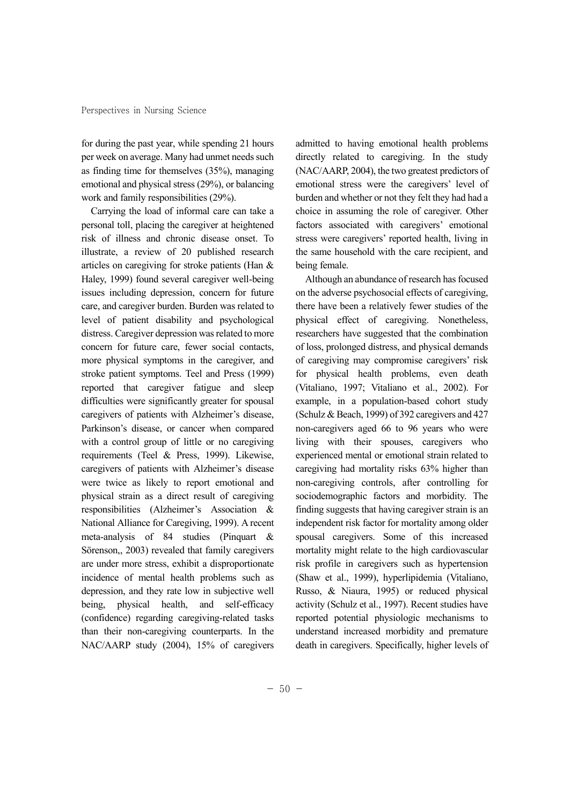for during the past year, while spending 21 hours per week on average. Many had unmet needs such as finding time for themselves (35%), managing emotional and physical stress (29%), or balancing work and family responsibilities (29%).

Carrying the load of informal care can take a personal toll, placing the caregiver at heightened risk of illness and chronic disease onset. To illustrate, a review of 20 published research articles on caregiving for stroke patients (Han & Haley, 1999) found several caregiver well-being issues including depression, concern for future care, and caregiver burden. Burden was related to level of patient disability and psychological distress. Caregiver depression was related to more concern for future care, fewer social contacts, more physical symptoms in the caregiver, and stroke patient symptoms. Teel and Press (1999) reported that caregiver fatigue and sleep difficulties were significantly greater for spousal caregivers of patients with Alzheimer's disease, Parkinson's disease, or cancer when compared with a control group of little or no caregiving requirements (Teel & Press, 1999). Likewise, caregivers of patients with Alzheimer's disease were twice as likely to report emotional and physical strain as a direct result of caregiving responsibilities (Alzheimer's Association & National Alliance for Caregiving, 1999). A recent meta-analysis of 84 studies (Pinquart & Sörenson,, 2003) revealed that family caregivers are under more stress, exhibit a disproportionate incidence of mental health problems such as depression, and they rate low in subjective well being, physical health, and self-efficacy (confidence) regarding caregiving-related tasks than their non-caregiving counterparts. In the NAC/AARP study (2004), 15% of caregivers admitted to having emotional health problems directly related to caregiving. In the study (NAC/AARP, 2004), the two greatest predictors of emotional stress were the caregivers' level of burden and whether or not they felt they had had a choice in assuming the role of caregiver. Other factors associated with caregivers' emotional stress were caregivers' reported health, living in the same household with the care recipient, and being female.

Although an abundance of research has focused on the adverse psychosocial effects of caregiving, there have been a relatively fewer studies of the physical effect of caregiving. Nonetheless, researchers have suggested that the combination of loss, prolonged distress, and physical demands of caregiving may compromise caregivers' risk for physical health problems, even death (Vitaliano, 1997; Vitaliano et al., 2002). For example, in a population-based cohort study (Schulz & Beach, 1999) of 392 caregivers and 427 non-caregivers aged 66 to 96 years who were living with their spouses, caregivers who experienced mental or emotional strain related to caregiving had mortality risks 63% higher than non-caregiving controls, after controlling for sociodemographic factors and morbidity. The finding suggests that having caregiver strain is an independent risk factor for mortality among older spousal caregivers. Some of this increased mortality might relate to the high cardiovascular risk profile in caregivers such as hypertension (Shaw et al., 1999), hyperlipidemia (Vitaliano, Russo, & Niaura, 1995) or reduced physical activity (Schulz et al., 1997). Recent studies have reported potential physiologic mechanisms to understand increased morbidity and premature death in caregivers. Specifically, higher levels of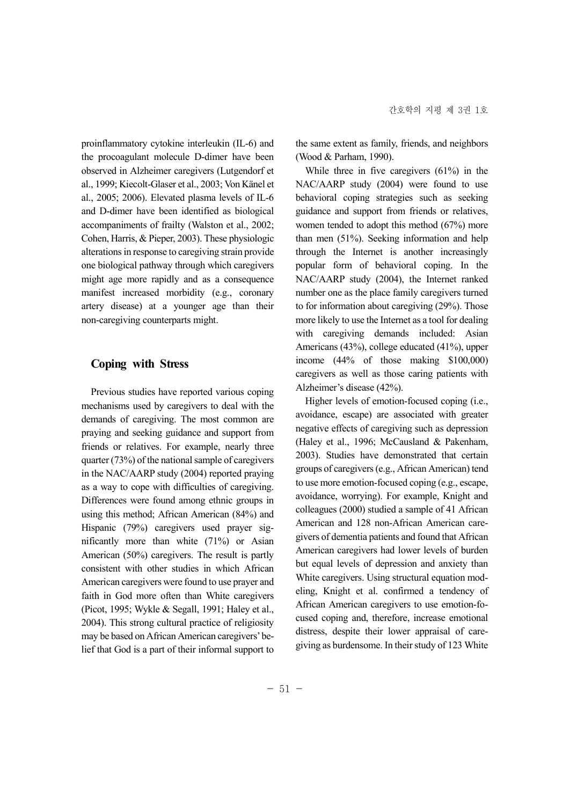proinflammatory cytokine interleukin (IL-6) and the procoagulant molecule D-dimer have been observed in Alzheimer caregivers (Lutgendorf et al., 1999; Kiecolt-Glaser et al., 2003; Von Känel et al., 2005; 2006). Elevated plasma levels of IL-6 and D-dimer have been identified as biological accompaniments of frailty (Walston et al., 2002; Cohen, Harris, & Pieper, 2003). These physiologic alterations in response to caregiving strain provide one biological pathway through which caregivers might age more rapidly and as a consequence manifest increased morbidity (e.g., coronary artery disease) at a younger age than their non-caregiving counterparts might.

## **Coping with Stress**

Previous studies have reported various coping mechanisms used by caregivers to deal with the demands of caregiving. The most common are praying and seeking guidance and support from friends or relatives. For example, nearly three quarter (73%) of the national sample of caregivers in the NAC/AARP study (2004) reported praying as a way to cope with difficulties of caregiving. Differences were found among ethnic groups in using this method; African American (84%) and Hispanic (79%) caregivers used prayer sig nificantly more than white (71%) or Asian American (50%) caregivers. The result is partly consistent with other studies in which African American caregivers were found to use prayer and faith in God more often than White caregivers (Picot, 1995; Wykle & Segall, 1991; Haley et al., 2004). This strong cultural practice of religiosity may be based on African American caregivers'belief that God is a part of their informal support to the same extent as family, friends, and neighbors (Wood & Parham, 1990).

While three in five caregivers (61%) in the NAC/AARP study (2004) were found to use behavioral coping strategies such as seeking guidance and support from friends or relatives, women tended to adopt this method (67%) more than men (51%). Seeking information and help through the Internet is another increasingly popular form of behavioral coping. In the NAC/AARP study (2004), the Internet ranked number one as the place family caregivers turned to for information about caregiving (29%). Those more likely to use the Internet as a tool for dealing with caregiving demands included: Asian Americans (43%), college educated (41%), upper income (44% of those making \$100,000) caregivers as well as those caring patients with Alzheimer's disease (42%).

Higher levels of emotion-focused coping (i.e., avoidance, escape) are associated with greater negative effects of caregiving such as depression (Haley et al., 1996; McCausland & Pakenham, 2003). Studies have demonstrated that certain groups of caregivers (e.g., African American) tend to use more emotion-focused coping (e.g., escape, avoidance, worrying). For example, Knight and colleagues (2000) studied a sample of 41 African American and 128 non-African American care givers of dementia patients and found that African American caregivers had lower levels of burden but equal levels of depression and anxiety than White caregivers. Using structural equation mod eling, Knight et al. confirmed a tendency of African American caregivers to use emotion-fo cused coping and, therefore, increase emotional distress, despite their lower appraisal of care giving as burdensome. In their study of 123 White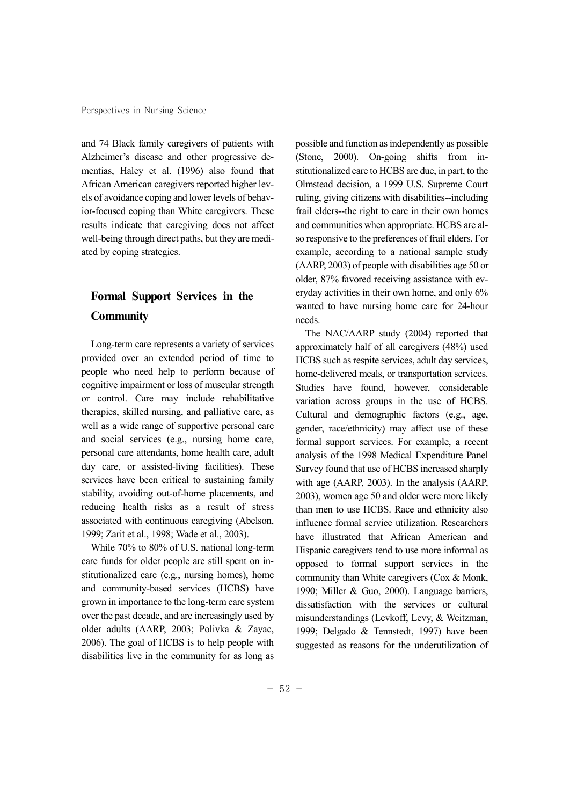and 74 Black family caregivers of patients with Alzheimer's disease and other progressive de mentias, Haley et al. (1996) also found that African American caregivers reported higher lev els of avoidance coping and lower levels of behavior-focused coping than White caregivers. These results indicate that caregiving does not affect well-being through direct paths, but they are medi ated by coping strategies.

# **Formal Support Services in the Community**

Long-term care represents a variety of services provided over an extended period of time to people who need help to perform because of cognitive impairment or loss of muscular strength or control. Care may include rehabilitative therapies, skilled nursing, and palliative care, as well as a wide range of supportive personal care and social services (e.g., nursing home care, personal care attendants, home health care, adult day care, or assisted-living facilities). These services have been critical to sustaining family stability, avoiding out-of-home placements, and reducing health risks as a result of stress associated with continuous caregiving (Abelson, 1999; Zarit et al., 1998; Wade et al., 2003).

While 70% to 80% of U.S. national long-term care funds for older people are still spent on in stitutionalized care (e.g., nursing homes), home and community-based services (HCBS) have grown in importance to the long-term care system over the past decade, and are increasingly used by older adults (AARP, 2003; Polivka & Zayac, 2006). The goal of HCBS is to help people with disabilities live in the community for as long as possible and function as independently as possible (Stone, 2000). On-going shifts from in stitutionalized care to HCBS are due, in part, to the Olmstead decision, a 1999 U.S. Supreme Court ruling, giving citizens with disabilities--including frail elders--the right to care in their own homes and communities when appropriate. HCBS are al so responsive to the preferences of frail elders. For example, according to a national sample study (AARP, 2003) of people with disabilities age 50 or older, 87% favored receiving assistance with ev eryday activities in their own home, and only 6% wanted to have nursing home care for 24-hour needs.

The NAC/AARP study (2004) reported that approximately half of all caregivers (48%) used HCBS such as respite services, adult day services, home-delivered meals, or transportation services. Studies have found, however, considerable variation across groups in the use of HCBS. Cultural and demographic factors (e.g., age, gender, race/ethnicity) may affect use of these formal support services. For example, a recent analysis of the 1998 Medical Expenditure Panel Survey found that use of HCBS increased sharply with age (AARP, 2003). In the analysis (AARP, 2003), women age 50 and older were more likely than men to use HCBS. Race and ethnicity also influence formal service utilization. Researchers have illustrated that African American and Hispanic caregivers tend to use more informal as opposed to formal support services in the community than White caregivers (Cox & Monk, 1990; Miller & Guo, 2000). Language barriers, dissatisfaction with the services or cultural misunderstandings (Levkoff, Levy, & Weitzman, 1999; Delgado & Tennstedt, 1997) have been suggested as reasons for the underutilization of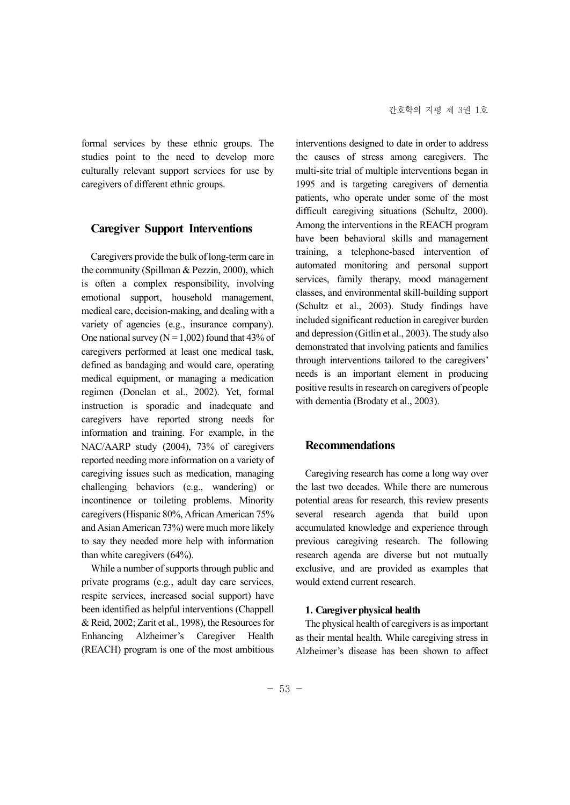formal services by these ethnic groups. The studies point to the need to develop more culturally relevant support services for use by caregivers of different ethnic groups.

## **Caregiver Support Interventions**

Caregivers provide the bulk of long-term care in the community (Spillman & Pezzin, 2000), which is often a complex responsibility, involving emotional support, household management, medical care, decision-making, and dealing with a variety of agencies (e.g., insurance company). One national survey ( $N = 1,002$ ) found that 43% of caregivers performed at least one medical task, defined as bandaging and would care, operating medical equipment, or managing a medication regimen (Donelan et al., 2002). Yet, formal instruction is sporadic and inadequate and caregivers have reported strong needs for information and training. For example, in the NAC/AARP study (2004), 73% of caregivers reported needing more information on a variety of caregiving issues such as medication, managing challenging behaviors (e.g., wandering) or incontinence or toileting problems. Minority caregivers (Hispanic 80%, African American 75% and Asian American 73%) were much more likely to say they needed more help with information than white caregivers (64%).

While a number of supports through public and private programs (e.g., adult day care services, respite services, increased social support) have been identified as helpful interventions (Chappell & Reid, 2002; Zarit et al., 1998), the Resources for Enhancing Alzheimer's Caregiver Health (REACH) program is one of the most ambitious interventions designed to date in order to address the causes of stress among caregivers. The multi-site trial of multiple interventions began in 1995 and is targeting caregivers of dementia patients, who operate under some of the most difficult caregiving situations (Schultz, 2000). Among the interventions in the REACH program have been behavioral skills and management training, a telephone-based intervention of automated monitoring and personal support services, family therapy, mood management classes, and environmental skill-building support (Schultz et al., 2003). Study findings have included significant reduction in caregiver burden and depression (Gitlin et al., 2003). The study also demonstrated that involving patients and families through interventions tailored to the caregivers' needs is an important element in producing positive results in research on caregivers of people with dementia (Brodaty et al., 2003).

## **Recommendations**

Caregiving research has come a long way over the last two decades. While there are numerous potential areas for research, this review presents several research agenda that build upon accumulated knowledge and experience through previous caregiving research. The following research agenda are diverse but not mutually exclusive, and are provided as examples that would extend current research.

#### **1. Caregiver physical health**

The physical health of caregivers is as important as their mental health. While caregiving stress in Alzheimer's disease has been shown to affect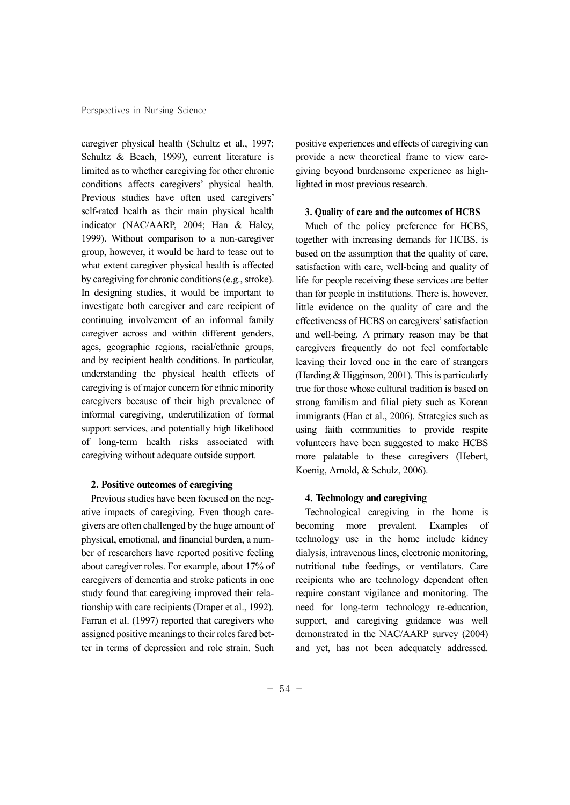caregiver physical health (Schultz et al., 1997; Schultz & Beach, 1999), current literature is limited as to whether caregiving for other chronic conditions affects caregivers' physical health. Previous studies have often used caregivers' self-rated health as their main physical health indicator (NAC/AARP, 2004; Han & Haley, 1999). Without comparison to a non-caregiver group, however, it would be hard to tease out to what extent caregiver physical health is affected by caregiving for chronic conditions (e.g., stroke). In designing studies, it would be important to investigate both caregiver and care recipient of continuing involvement of an informal family caregiver across and within different genders, ages, geographic regions, racial/ethnic groups, and by recipient health conditions. In particular, understanding the physical health effects of caregiving is of major concern for ethnic minority caregivers because of their high prevalence of informal caregiving, underutilization of formal support services, and potentially high likelihood of long-term health risks associated with caregiving without adequate outside support.

#### **2. Positive outcomes of caregiving**

Previous studies have been focused on the neg ative impacts of caregiving. Even though care givers are often challenged by the huge amount of physical, emotional, and financial burden, a num ber of researchers have reported positive feeling about caregiver roles. For example, about 17% of caregivers of dementia and stroke patients in one study found that caregiving improved their relationship with care recipients (Draper et al., 1992). Farran et al. (1997) reported that caregivers who assigned positive meanings to their roles fared better in terms of depression and role strain. Such positive experiences and effects of caregiving can provide a new theoretical frame to view care giving beyond burdensome experience as highlighted in most previous research.

#### **3. Quality of care and the outcomes of HCBS**

Much of the policy preference for HCBS, together with increasing demands for HCBS, is based on the assumption that the quality of care, satisfaction with care, well-being and quality of life for people receiving these services are better than for people in institutions. There is, however, little evidence on the quality of care and the effectiveness of HCBS on caregivers'satisfaction and well-being. A primary reason may be that caregivers frequently do not feel comfortable leaving their loved one in the care of strangers (Harding & Higginson, 2001). This is particularly true for those whose cultural tradition is based on strong familism and filial piety such as Korean immigrants (Han et al., 2006). Strategies such as using faith communities to provide respite volunteers have been suggested to make HCBS more palatable to these caregivers (Hebert, Koenig, Arnold, & Schulz, 2006).

#### **4. Technology and caregiving**

Technological caregiving in the home is becoming more prevalent. Examples of technology use in the home include kidney dialysis, intravenous lines, electronic monitoring, nutritional tube feedings, or ventilators. Care recipients who are technology dependent often require constant vigilance and monitoring. The need for long-term technology re-education, support, and caregiving guidance was well demonstrated in the NAC/AARP survey (2004) and yet, has not been adequately addressed.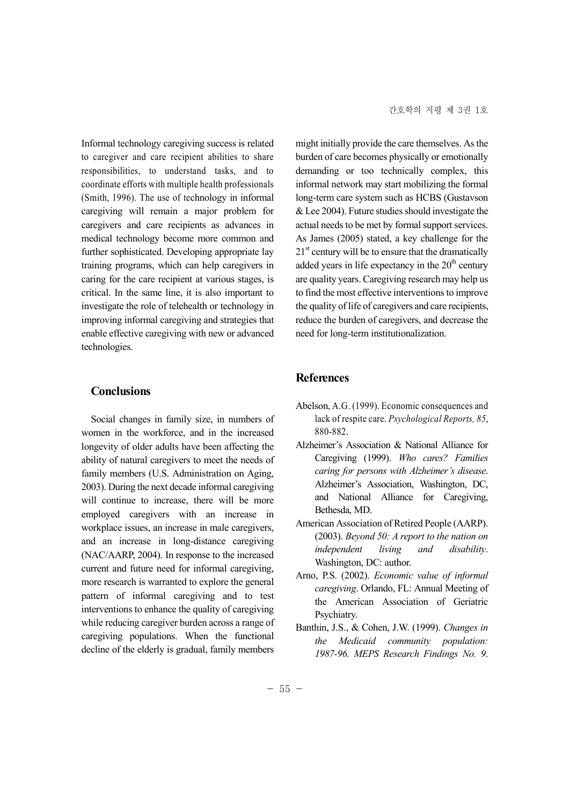Informal technology caregiving success is related to caregiver and care recipient abilities to share responsibilities, to understand tasks, and to coordinate efforts with multiple health professionals (Smith, 1996). The use of technology in informal caregiving will remain a major problem for caregivers and care recipients as advances in medical technology become more common and further sophisticated. Developing appropriate lay training programs, which can help caregivers in caring for the care recipient at various stages, is critical. In the same line, it is also important to investigate the role of telehealth or technology in improving informal caregiving and strategies that enable effective caregiving with new or advanced technologies.

## **Conclusions**

Social changes in family size, in numbers of women in the workforce, and in the increased longevity of older adults have been affecting the ability of natural caregivers to meet the needs of family members (U.S. Administration on Aging, 2003). During the next decade informal caregiving will continue to increase, there will be more employed caregivers with an increase in workplace issues, an increase in male caregivers, and an increase in long-distance caregiving (NAC/AARP, 2004). In response to the increased current and future need for informal caregiving, more research is warranted to explore the general pattern of informal caregiving and to test interventions to enhance the quality of caregiving while reducing caregiver burden across a range of caregiving populations. When the functional decline of the elderly is gradual, family members

might initially provide the care themselves. As the burden of care becomes physically or emotionally demanding or too technically complex, this informal network may start mobilizing the formal long-term care system such as HCBS (Gustavson & Lee 2004). Future studies should investigate the actual needs to be met by formal support services. As James (2005) stated, a key challenge for the  $21<sup>st</sup>$  century will be to ensure that the dramatically added years in life expectancy in the  $20<sup>th</sup>$  century are quality years. Caregiving research may help us to find the most effective interventions to improve the quality of life of caregivers and care recipients, reduce the burden of caregivers, and decrease the need for long-term institutionalization.

## **References**

- Abelson, A.G. (1999). Economic consequences and lack of respite care. *Psychological Reports, 85*, 880-882.
- Alzheimer's Association & National Alliance for Caregiving (1999). *Who cares? Families caring for persons with Alzheimer's disease*. Alzheimer's Association, Washington, DC, and National Alliance for Caregiving, Bethesda, MD.
- American Association of Retired People (AARP). (2003). *Beyond 50: A report to the nation on independent living and disability*. Washington, DC: author.
- Arno, P.S. (2002). *Economic value of informal caregiving*. Orlando, FL: Annual Meeting of the American Association of Geriatric Psychiatry.
- Banthin, J.S., & Cohen, J.W. (1999). *Changes in the Medicaid community population: 1987-96. MEPS Research Findings No. 9*.

 $-55 -$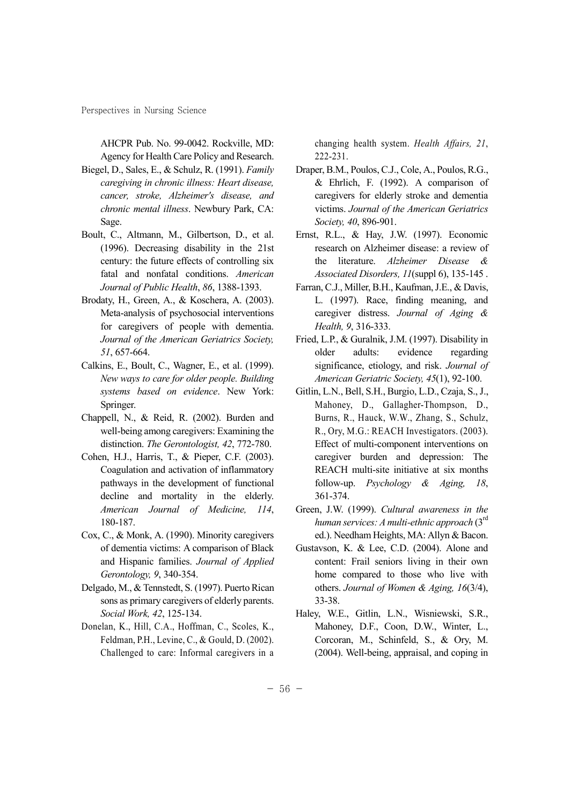Perspectives in Nursing Science

AHCPR Pub. No. 99-0042. Rockville, MD: Agency for Health Care Policy and Research.

- Biegel, D., Sales, E., & Schulz, R. (1991). *Family caregiving in chronic illness: Heart disease, cancer, stroke, Alzheimer's disease, and chronic mental illness*. Newbury Park, CA: Sage.
- Boult, C., Altmann, M., Gilbertson, D., et al. (1996). Decreasing disability in the 21st century: the future effects of controlling six fatal and nonfatal conditions. *American Journal of Public Health*, *86*, 1388-1393.
- Brodaty, H., Green, A., & Koschera, A. (2003). Meta-analysis of psychosocial interventions for caregivers of people with dementia. *Journal of the American Geriatrics Society, 51*, 657-664.
- Calkins, E., Boult, C., Wagner, E., et al. (1999). *New ways to care for older people. Building systems based on evidence*. New York: Springer.
- Chappell, N., & Reid, R. (2002). Burden and well-being among caregivers: Examining the distinction. *The Gerontologist, 42*, 772-780.
- Cohen, H.J., Harris, T., & Pieper, C.F. (2003). Coagulation and activation of inflammatory pathways in the development of functional decline and mortality in the elderly. *American Journal of Medicine, 114*, 180-187.
- Cox, C., & Monk, A. (1990). Minority caregivers of dementia victims: A comparison of Black and Hispanic families. *Journal of Applied Gerontology, 9*, 340-354.
- Delgado, M., & Tennstedt, S. (1997). Puerto Rican sons as primary caregivers of elderly parents. *Social Work, 42*, 125-134.
- Donelan, K., Hill, C.A., Hoffman, C., Scoles, K., Feldman, P.H., Levine, C., & Gould, D. (2002). Challenged to care: Informal caregivers in a

changing health system. *Health Affairs, 21*, 222-231.

- Draper, B.M., Poulos, C.J., Cole, A., Poulos, R.G., & Ehrlich, F. (1992). A comparison of caregivers for elderly stroke and dementia victims. *Journal of the American Geriatrics Society, 40*, 896-901.
- Ernst, R.L., & Hay, J.W. (1997). Economic research on Alzheimer disease: a review of the literature. *Alzheimer Disease & Associated Disorders, 11*(suppl 6), 135-145 .
- Farran, C.J., Miller, B.H., Kaufman, J.E., & Davis, L. (1997). Race, finding meaning, and caregiver distress. *Journal of Aging & Health, 9*, 316-333.
- Fried, L.P., & Guralnik, J.M. (1997). Disability in older adults: evidence regarding significance, etiology, and risk. *Journal of American Geriatric Society, 45*(1), 92-100.
- Gitlin, L.N., Bell, S.H., Burgio, L.D., Czaja, S., J., Mahoney, D., Gallagher-Thompson, D., Burns, R., Hauck, W.W., Zhang, S., Schulz, R., Ory, M.G.: REACH Investigators. (2003). Effect of multi-component interventions on caregiver burden and depression: The REACH multi-site initiative at six months follow-up. *Psychology & Aging, 18*, 361-374.
- Green, J.W. (1999). *Cultural awareness in the human services: A multi-ethnic approach* (3rd ed.). Needham Heights, MA: Allyn & Bacon.
- Gustavson, K. & Lee, C.D. (2004). Alone and content: Frail seniors living in their own home compared to those who live with others. *Journal of Women & Aging, 16*(3/4), 33-38.
- Haley, W.E., Gitlin, L.N., Wisniewski, S.R., Mahoney, D.F., Coon, D.W., Winter, L., Corcoran, M., Schinfeld, S., & Ory, M. (2004). Well-being, appraisal, and coping in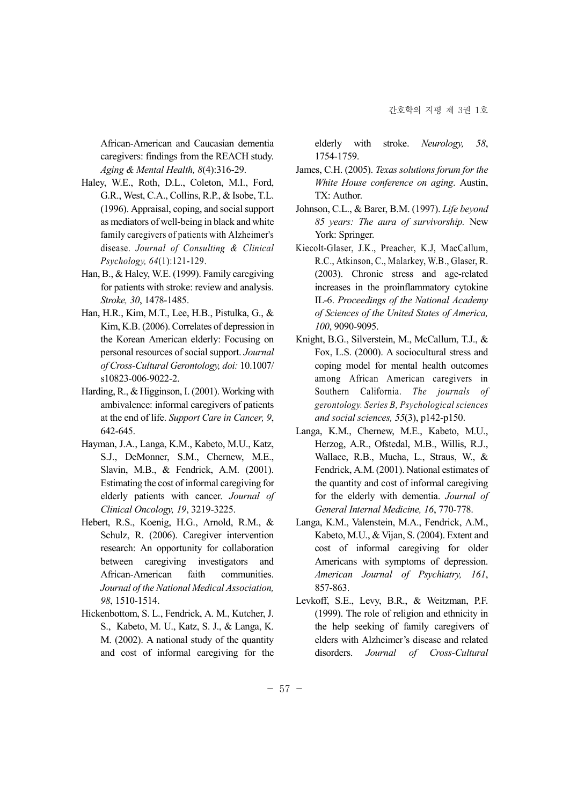African-American and Caucasian dementia caregivers: findings from the REACH study. *Aging & Mental Health, 8*(4):316-29.

- Haley, W.E., Roth, D.L., Coleton, M.I., Ford, G.R., West, C.A., Collins, R.P., & Isobe, T.L. (1996). Appraisal, coping, and social support as mediators of well-being in black and white family caregivers of patients with Alzheimer's disease. *Journal of Consulting & Clinical Psychology, 64*(1):121-129.
- Han, B., & Haley, W.E. (1999). Family caregiving for patients with stroke: review and analysis. *Stroke, 30*, 1478-1485.
- Han, H.R., Kim, M.T., Lee, H.B., Pistulka, G., & Kim, K.B. (2006). Correlates of depression in the Korean American elderly: Focusing on personal resources of social support. *Journal of Cross-Cultural Gerontology, doi:* 10.1007/ s10823-006-9022-2.
- Harding, R., & Higginson, I. (2001). Working with ambivalence: informal caregivers of patients at the end of life. *Support Care in Cancer, 9*, 642-645.
- Hayman, J.A., Langa, K.M., Kabeto, M.U., Katz, S.J., DeMonner, S.M., Chernew, M.E., Slavin, M.B., & Fendrick, A.M. (2001). Estimating the cost of informal caregiving for elderly patients with cancer. *Journal of Clinical Oncology, 19*, 3219-3225.
- Hebert, R.S., Koenig, H.G., Arnold, R.M., & Schulz, R. (2006). Caregiver intervention research: An opportunity for collaboration between caregiving investigators and African-American faith communities. *Journal of the National Medical Association, 98*, 1510-1514.
- Hickenbottom, S. L., Fendrick, A. M., Kutcher, J. S., Kabeto, M. U., Katz, S. J., & Langa, K. M. (2002). A national study of the quantity and cost of informal caregiving for the

elderly with stroke. *Neurology, 58*, 1754-1759.

- James, C.H. (2005). *Texas solutions forum for the White House conference on aging*. Austin, TX: Author.
- Johnson, C.L., & Barer, B.M. (1997). *Life beyond 85 years: The aura of survivorship.* New York: Springer.
- Kiecolt-Glaser, J.K., Preacher, K.J, MacCallum, R.C., Atkinson, C., Malarkey, W.B., Glaser, R. (2003). Chronic stress and age-related increases in the proinflammatory cytokine IL-6. *Proceedings of the National Academy of Sciences of the United States of America, 100*, 9090-9095.
- Knight, B.G., Silverstein, M., McCallum, T.J., & Fox, L.S. (2000). A sociocultural stress and coping model for mental health outcomes among African American caregivers in Southern California. *The journals of gerontology. Series B, Psychological sciences and social sciences, 55*(3), p142-p150.
- Langa, K.M., Chernew, M.E., Kabeto, M.U., Herzog, A.R., Ofstedal, M.B., Willis, R.J., Wallace, R.B., Mucha, L., Straus, W., & Fendrick, A.M. (2001). National estimates of the quantity and cost of informal caregiving for the elderly with dementia. *Journal of General Internal Medicine, 16*, 770-778.
- Langa, K.M., Valenstein, M.A., Fendrick, A.M., Kabeto, M.U., & Vijan, S. (2004). Extent and cost of informal caregiving for older Americans with symptoms of depression. *American Journal of Psychiatry, 161*, 857-863.
- Levkoff, S.E., Levy, B.R., & Weitzman, P.F. (1999). The role of religion and ethnicity in the help seeking of family caregivers of elders with Alzheimer's disease and related disorders. *Journal of Cross-Cultural*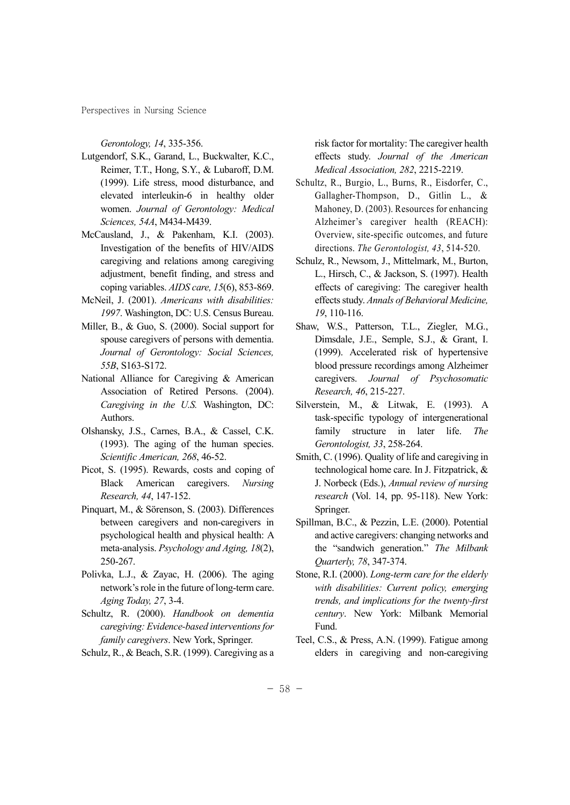Perspectives in Nursing Science

*Gerontology, 14*, 335-356.

- Lutgendorf, S.K., Garand, L., Buckwalter, K.C., Reimer, T.T., Hong, S.Y., & Lubaroff, D.M. (1999). Life stress, mood disturbance, and elevated interleukin-6 in healthy older women. *Journal of Gerontology: Medical Sciences, 54A*, M434-M439.
- McCausland, J., & Pakenham, K.I. (2003). Investigation of the benefits of HIV/AIDS caregiving and relations among caregiving adjustment, benefit finding, and stress and coping variables. *AIDS care, 15*(6), 853-869.
- McNeil, J. (2001). *Americans with disabilities: 1997*. Washington, DC: U.S. Census Bureau.
- Miller, B., & Guo, S. (2000). Social support for spouse caregivers of persons with dementia. *Journal of Gerontology: Social Sciences, 55B*, S163-S172.
- National Alliance for Caregiving & American Association of Retired Persons. (2004). *Caregiving in the U.S.* Washington, DC: Authors.
- Olshansky, J.S., Carnes, B.A., & Cassel, C.K. (1993). The aging of the human species. *Scientific American, 268*, 46-52.
- Picot, S. (1995). Rewards, costs and coping of Black American caregivers. *Nursing Research, 44*, 147-152.
- Pinquart, M., & Sörenson, S. (2003). Differences between caregivers and non-caregivers in psychological health and physical health: A meta-analysis. *Psychology and Aging, 18*(2), 250-267.
- Polivka, L.J., & Zayac, H. (2006). The aging network's role in the future of long-term care. *Aging Today, 27*, 3-4.
- Schultz, R. (2000). *Handbook on dementia caregiving: Evidence-based interventions for family caregivers*. New York, Springer.
- Schulz, R., & Beach, S.R. (1999). Caregiving as a

risk factor for mortality: The caregiver health effects study. *Journal of the American Medical Association, 282*, 2215-2219.

- Schultz, R., Burgio, L., Burns, R., Eisdorfer, C., Gallagher-Thompson, D., Gitlin L., & Mahoney, D. (2003). Resources for enhancing Alzheimer's caregiver health (REACH): Overview, site-specific outcomes, and future directions. *The Gerontologist, 43*, 514-520.
- Schulz, R., Newsom, J., Mittelmark, M., Burton, L., Hirsch, C., & Jackson, S. (1997). Health effects of caregiving: The caregiver health effects study. *Annals of Behavioral Medicine, 19*, 110-116.
- Shaw, W.S., Patterson, T.L., Ziegler, M.G., Dimsdale, J.E., Semple, S.J., & Grant, I. (1999). Accelerated risk of hypertensive blood pressure recordings among Alzheimer caregivers. *Journal of Psychosomatic Research, 46*, 215-227.
- Silverstein, M., & Litwak, E. (1993). A task-specific typology of intergenerational family structure in later life. *The Gerontologist, 33*, 258-264.
- Smith, C. (1996). Quality of life and caregiving in technological home care. In J. Fitzpatrick, & J. Norbeck (Eds.), *Annual review of nursing research* (Vol. 14, pp. 95-118). New York: Springer.
- Spillman, B.C., & Pezzin, L.E. (2000). Potential and active caregivers: changing networks and the "sandwich generation." *The Milbank Quarterly, 78*, 347-374.
- Stone, R.I. (2000). *Long-term care for the elderly with disabilities: Current policy, emerging trends, and implications for the twenty-first century*. New York: Milbank Memorial Fund.
- Teel, C.S., & Press, A.N. (1999). Fatigue among elders in caregiving and non-caregiving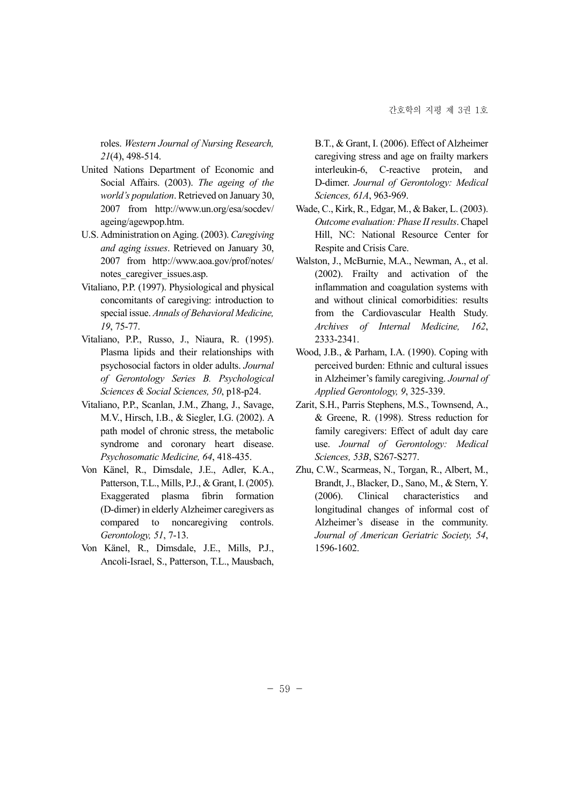roles. *Western Journal of Nursing Research, 21*(4), 498-514.

- United Nations Department of Economic and Social Affairs. (2003). *The ageing of the world's population*. Retrieved on January 30, 2007 from http://www.un.org/esa/socdev/ ageing/agewpop.htm.
- U.S. Administration on Aging. (2003). *Caregiving and aging issues*. Retrieved on January 30, 2007 from http://www.aoa.gov/prof/notes/ notes caregiver issues.asp.
- Vitaliano, P.P. (1997). Physiological and physical concomitants of caregiving: introduction to special issue. *Annals of Behavioral Medicine, 19*, 75-77.
- Vitaliano, P.P., Russo, J., Niaura, R. (1995). Plasma lipids and their relationships with psychosocial factors in older adults. *Journal of Gerontology Series B. Psychological Sciences & Social Sciences, 50*, p18-p24.
- Vitaliano, P.P., Scanlan, J.M., Zhang, J., Savage, M.V., Hirsch, I.B., & Siegler, I.G. (2002). A path model of chronic stress, the metabolic syndrome and coronary heart disease. *Psychosomatic Medicine, 64*, 418-435.
- Von Känel, R., Dimsdale, J.E., Adler, K.A., Patterson, T.L., Mills, P.J., & Grant, I. (2005). Exaggerated plasma fibrin formation (D-dimer) in elderly Alzheimer caregivers as compared to noncaregiving controls. *Gerontology, 51*, 7-13.
- Von Känel, R., Dimsdale, J.E., Mills, P.J., Ancoli-Israel, S., Patterson, T.L., Mausbach,

B.T., & Grant, I. (2006). Effect of Alzheimer caregiving stress and age on frailty markers interleukin-6, C-reactive protein, and D-dimer. *Journal of Gerontology: Medical Sciences, 61A*, 963-969.

- Wade, C., Kirk, R., Edgar, M., & Baker, L. (2003). *Outcome evaluation: Phase II results*. Chapel Hill, NC: National Resource Center for Respite and Crisis Care.
- Walston, J., McBurnie, M.A., Newman, A., et al. (2002). Frailty and activation of the inflammation and coagulation systems with and without clinical comorbidities: results from the Cardiovascular Health Study. *Archives of Internal Medicine, 162*, 2333-2341.
- Wood, J.B., & Parham, I.A. (1990). Coping with perceived burden: Ethnic and cultural issues in Alzheimer's family caregiving. *Journal of Applied Gerontology, 9*, 325-339.
- Zarit, S.H., Parris Stephens, M.S., Townsend, A., & Greene, R. (1998). Stress reduction for family caregivers: Effect of adult day care use. *Journal of Gerontology: Medical Sciences, 53B*, S267-S277.
- Zhu, C.W., Scarmeas, N., Torgan, R., Albert, M., Brandt, J., Blacker, D., Sano, M., & Stern, Y. (2006). Clinical characteristics and longitudinal changes of informal cost of Alzheimer's disease in the community. *Journal of American Geriatric Society, 54*, 1596-1602.